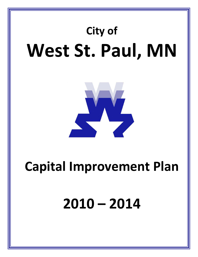



# **Capital Improvement Plan**

**2010 – 2014**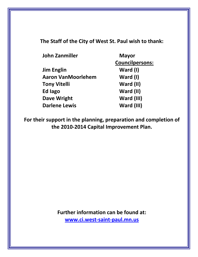**The Staff of the City of West St. Paul wish to thank:**

| <b>John Zanmiller</b>     | <b>Mayor</b>           |
|---------------------------|------------------------|
|                           | <b>Councilpersons:</b> |
| <b>Jim Englin</b>         | Ward (I)               |
| <b>Aaron VanMoorlehem</b> | Ward (I)               |
| <b>Tony Vitelli</b>       | Ward (II)              |
| Ed lago                   | Ward (II)              |
| <b>Dave Wright</b>        | Ward (III)             |
| <b>Darlene Lewis</b>      | Ward (III)             |
|                           |                        |

**For their support in the planning, preparation and completion of the 2010‐2014 Capital Improvement Plan.**

> **Further information can be found at: www.ci.west‐saint‐paul.mn.us**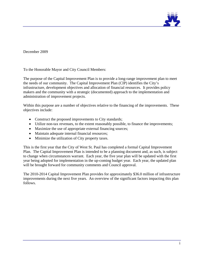

December 2009

To the Honorable Mayor and City Council Members:

The purpose of the Capital Improvement Plan is to provide a long-range improvement plan to meet the needs of our community. The Capital Improvement Plan (CIP) identifies the City's infrastructure, development objectives and allocation of financial resources. It provides policy makers and the community with a strategic (documented) approach to the implementation and administration of improvement projects.

Within this purpose are a number of objectives relative to the financing of the improvements. These objectives include:

- Construct the proposed improvements to City standards;
- Utilize non-tax revenues, to the extent reasonably possible, to finance the improvements;
- Maximize the use of appropriate external financing sources;
- Maintain adequate internal financial resources;
- Minimize the utilization of City property taxes.

This is the first year that the City of West St. Paul has completed a formal Capital Improvement Plan. The Capital Improvement Plan is intended to be a planning document and, as such, is subject to change when circumstances warrant. Each year, the five year plan will be updated with the first year being adopted for implementation in the up-coming budget year. Each year, the updated plan will be brought forward for community comments and Council approval.

The 2010-2014 Capital Improvement Plan provides for approximately \$36.0 million of infrastructure improvements during the next five years. An overview of the significant factors impacting this plan follows.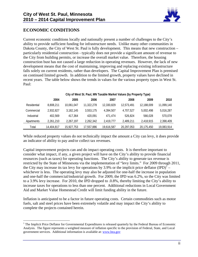

# **ECONOMIC CONDITIONS**

1

Current economic conditions locally and nationally present a number of challenges to the City's ability to provide sufficient funding for infrastructure needs. Unlike many other communities in Dakota County, the City of West St. Paul is fully development. This means that new construction – particularly residential construction - typically does not provide a significant amount of revenue to the City from building permits, or increase the overall market value. Therefore, the housing construction bust has not caused a large reduction in operating revenues. However, the lack of new development means that the cost of maintaining, improving and replacing existing infrastructure falls solely on current residents, rather than developers. The Capital Improvement Plan is premised on continued limited growth. In addition to the limited growth, property values have declined in recent years. The table below shows the trends in values for the various property types in West St. Paul:

|             | 2004       | 2005       | 2006       | 2007       | 2008       | 2009       | 2010       |  |
|-------------|------------|------------|------------|------------|------------|------------|------------|--|
| Residential | 8.808.211  | 10.061.047 | 11,322,278 | 12,330,829 | 12.573.491 | 12.188.009 | 11,099,140 |  |
| Commercial  | 2.932.827  | 3,182,145  | 3,553,175  | 4.394.507  | 4.707.527  | 5.002.498  | 5,016,287  |  |
| Industrial  | 402.569    | 417.364    | 420.091    | 471.474    | 526.824    | 566.028    | 570,078    |  |
| Apartments  | 2,261,210  | 2,267,197  | 2,262,342  | 2,419,777  | 2,489,211  | 2,418,915  | 2,398,409  |  |
| Total       | 14,404,817 | 15,927,753 | 17,557,886 | 19,616,587 | 20,297,053 | 20.175.450 | 19,083,914 |  |

#### **City of West St. Paul, MN Taxable Market Values (by Property Type)**

While reduced property values do not technically impact the amount a City can levy, it does provide an indicator of ability to pay and/or collect tax revenues.

Capital improvement projects can and do impact operating costs. It is therefore important to consider what impact, if any, a given project will have on the City's ability to provide financial resources (such as taxes) for operating functions. The City's ability to generate tax revenue is restricted by the State of Minnesota via the implementation of "levy limits." For 2009 through 2011, the City may increase its tax levy for operations by 3.9% or the implicit price deflator  $(IPD)^{1}$  – whichever is less. The operating levy may also be adjusted for one-half the increase in population and one-half the commercial/industrial growth. For 2009, the IPD was 6.2%, so the City was limited to a 3.9% levy increase. For 2010, the IPD dropped to .0.8%, thereby limiting the City's ability to increase taxes for operations to less than one percent. Additional reductions in Local Government Aid and Market Value Homestead Credit will limit funding ability in the future.

Inflation is anticipated to be a factor in future operating costs. Certain commodities such as motor fuels, salt and steel prices have been extremely volatile and may impact the City's ability to complete the projects contained herein.

<sup>&</sup>lt;sup>1</sup> The Implicit Price Deflator for Governmental Expenditures is released quarterly by the Federal Bureau of Economic Analysis. The figure represents a weighted measure of inflation specific to the provision of Federal, State, and Local government services. Additional information is available at: www.bea.gov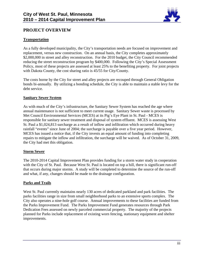

## **PROJECT OVERVIEW**

## **Transportation**

As a fully developed municipality, the City's transportation needs are focused on improvement and replacement, versus new construction. On an annual basis, the City completes approximately \$2,000,000 in street and alley reconstruction. For the 2010 budget, the City Council recommended reducing the street reconstruction program by \$400,000. Following the City's Special Assessment Policy, most of these projects are assessed at least 25% to the benefiting property. For joint projects with Dakota County, the cost sharing ratio is 45/55 for City/County.

The costs borne by the City for street and alley projects are recouped through General Obligation bonds bi-annually. By utilizing a bonding schedule, the City is able to maintain a stable levy for the debt service.

### **Sanitary Sewer System**

As with much of the City's infrastructure, the Sanitary Sewer System has reached the age where annual maintenance is not sufficient to meet current usage. Sanitary Sewer waste is processed by Met Council Environmental Services (MCES) at its Pig's Eye Plant in St. Paul - MCES is responsible for sanitary sewer treatment and disposal of system effluent. MCES is assessing West St. Paul a \$1,024,813 surcharge as a result of inflow and infiltration which occurred during heavy rainfall "events" since June of 2004; the surcharge is payable over a five year period. However, MCES has issued a notice that, if the City invests an equal amount of funding into completing repairs to mitigate the inflow and infiltration, the surcharge will be waived. As of October 31, 2009, the City had met this obligation.

## **Storm Sewer**

The 2010-2014 Capital Improvement Plan provides funding for a storm water study in cooperation with the City of St. Paul. Because West St. Paul is located on top a hill, there is significant run-off that occurs during major storms. A study will be completed to determine the source of the run-off and what, if any, changes should be made to the drainage configuration.

## **Parks and Trails**

West St. Paul currently maintains nearly 130 acres of dedicated parkland and park facilities. The parks facilities range in size from small neighborhood parks to an extensive sports complex. The City also operates a nine-hole golf course. Annual improvements to these facilities are funded from the Parks Improvement Fund. The Parks Improvement Fund generates resources through Park Dedication Fees assessed on newly parceled commercial property. The majority of the projects planned for Parks include replacement of existing worn fencing, stationary equipment and shelter improvements.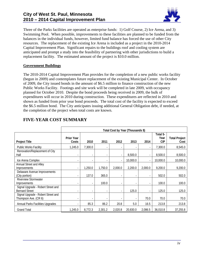

Three of the Parks facilities are operated as enterprise funds: 1) Golf Course, 2) Ice Arena, and 3) Swimming Pool. When possible, improvements to these facilities are planned to be funded from the balances in the individual funds, however, limited fund balance has forced the use of other City resources. The replacement of the existing Ice Arena is included as a project in the 2010-2014 Capital Improvement Plan. Significant repairs to the buildings roof and cooling system are anticipated and prompt a study into the feasibility of partnering with other jurisdictions to build a replacement facility. The estimated amount of the project is \$10.0 million.

## **Government Buildings**

The 2010-2014 Capital Improvement Plan provides for the completion of a new public works facility (begun in 2009) and contemplates future replacement of the existing Municipal Center. In October of 2009, the City issued bonds in the amount of \$6.5 million to finance construction of the new Public Works Facility. Footings and site work will be completed in late 2009, with occupancy planned for October 2010. Despite the bond proceeds being received in 2009, the bulk of expenditures will occur in 2010 during construction. These expenditures are reflected in 2010 and shown as funded from prior year bond proceeds. The total cost of the facility is expected to exceed the \$6.5 million bond. The City anticipates issuing additional General Obligation debt, if needed, at the completion of the project when total costs are known.

|                                                             | Total Cost by Year (Thousands \$) |         |                |                          |          |                          |                                |                              |
|-------------------------------------------------------------|-----------------------------------|---------|----------------|--------------------------|----------|--------------------------|--------------------------------|------------------------------|
| <b>Project Title</b>                                        | <b>Prior Year</b><br>Costs        | 2010    | 2011           | 2012                     | 2013     | 2014                     | Total 5-<br>Year<br><b>CIP</b> | <b>Total Project</b><br>Cost |
| Public Works Facility                                       | 1,245.0                           | 7,300.0 |                |                          |          | $\overline{\phantom{a}}$ | 7,300.0                        | 8,545.0                      |
| Renovation/Replacement of City<br>Hall                      |                                   |         | $\blacksquare$ | $\overline{\phantom{a}}$ | 8,500.0  | $\overline{\phantom{a}}$ | 8,500.0                        | 8,500.0                      |
| Ice Arena Complex                                           |                                   |         |                | $\overline{\phantom{a}}$ | 10,000.0 | $\overline{\phantom{m}}$ | 10,000.0                       | 10,000.0                     |
| <b>Annual Street and Alley</b><br>Improvements              |                                   | 1,250.0 | 1,750.0        | 2,000.0                  | 2,200.0  | 2,000.0                  | 9,200.0                        | 9,200.0                      |
| Delaware Avenue Improvements<br>(City portion)              |                                   | 137.0   | 365.0          | $\overline{\phantom{a}}$ |          | $\overline{\phantom{a}}$ | 502.0                          | 502.0                        |
| <b>Riverview Stormwater</b><br>Improvements                 |                                   |         | 100.0          | $\overline{\phantom{a}}$ |          |                          | 100.0                          | 100.0                        |
| Signal Upgrade - Robert Street and<br><b>Bernard Street</b> |                                   |         |                | $\overline{\phantom{a}}$ | 125.0    |                          | 125.0                          | 125.0                        |
| Signal Upgrade - Robert Street and<br>Thompson Ave. (CR 6)  |                                   |         |                | $\overline{\phantom{a}}$ |          | 70.0                     | 70.0                           | 70.0                         |
| Annual Parks Facilities Upgrades                            |                                   | 85.3    | 86.2           | 20.8                     | 5.0      | 16.5                     | 213.8                          | 213.8                        |
| <b>Grand Total</b>                                          | 1,245.0                           | 8,772.3 | 2,301.2        | 2,020.8                  | 20,830.0 | 2,086.5                  | 36,010.8                       | 37,255.8                     |

# **FIVE-YEAR COST SUMMARY**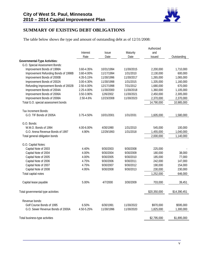

# **SUMMARY OF EXISTING DEBT OBLIGATIONS**

The table below shows the type and amount of outstanding debt as of 12/31/2008:

|                                      |            |              |            | Authorized    |              |
|--------------------------------------|------------|--------------|------------|---------------|--------------|
|                                      | Interest   | <b>Issue</b> | Maturity   | and           |              |
|                                      | Rate       | Date         | Date       | <b>Issued</b> | Outstanding  |
| <b>Governmental-Type Activities:</b> |            |              |            |               |              |
| G.O. Special Assessment Bonds:       |            |              |            |               |              |
| Improvement Bonds of 1998A           | 3.60-4.35% | 10/31/1994   | 11/30/2015 | 2,200,000     | 1,710,000    |
| Improvement Refunding Bonds of 1998B | 3.60-4.00% | 11/17/1994   | 1/31/2010  | 2,130,000     | 600,000      |
| Improvement Bonds of 2000B           | 4.35-5.15% | 11/30/1996   | 11/30/2017 | 1,265,000     | 1,065,000    |
| Improvement Bonds of 2002A           | 3.00-4.30% | 11/30/1998   | 1/31/2015  | 1,335,000     | 1,160,000    |
| Refunding Improvement Bonds of 2002B | 2.50-4.00% | 12/17/1998   | 7/31/2012  | 1,680,000     | 670,000      |
| Improvement Bonds of 2004A           | 2.25-4.00% | 11/30/2000   | 11/30/2018 | 1,360,000     | 1,105,000    |
| Improvement Bonds of 2006A           | 3.50-3.90% | 12/6/2002    | 11/30/2021 | 2,450,000     | 2,305,000    |
| Improvement Bonds of 2008A           | 2.50-4.6%  | 12/23/2008   | 11/30/2023 | 2,370,000     | 2,370,000    |
| Total G.O. special assessment bonds  |            |              |            | 14,790,000    | 10,985,000   |
| <b>Tax Increment Bonds:</b>          |            |              |            |               |              |
| G.O. TIF Bonds of 2005A              | 3.75-4.50% | 10/31/2001   | 1/31/2031  | 1,605,000     | 1,580,000    |
| G.O. Bonds:                          |            |              |            |               |              |
| W.M.O. Bonds of 1994                 | 4.00-6.00% | 4/30/1990    | 1/31/2010  | 545,000       | 100,000      |
| G.O. Arena Revenue Bonds of 1997     | 4.90%      | 12/29/1993   | 1/31/2018  | 1,455,000     | 1,040,000    |
| Total general obligation bonds       |            |              |            | 2,000,000     | 1,140,000    |
| G.O. Capital Notes:                  |            |              |            |               |              |
| Capital Note of 2003                 | 4.40%      | 9/30/2003    | 9/30/2008  | 225,000       |              |
| Capital Note of 2004                 | 4.00%      | 9/30/2004    | 9/30/2009  | 180,000       | 38,000       |
| Capital Note of 2005                 | 4.00%      | 9/30/2005    | 9/30/2010  | 185,000       | 77,000       |
| Capital Note of 2006                 | 4.75%      | 9/30/2006    | 9/30/2011  | 242,000       | 147,000      |
| Capital Note of 2007                 | 4.75%      | 9/30/2007    | 9/30/2012  | 190,000       | 154,000      |
| Capital Note of 2008                 | 4.95%      | 9/30/2008    | 9/30/2013  | 230,000       | 230,000      |
| Total capital notes                  |            |              |            | 1,252,000     | 646,000      |
| Capital lease payable                | 5.00%      | 4/7/2000     | 3/30/2009  | 703,000       | 39,451       |
| Total governmental type activities   |            |              |            | \$20,350,000  | \$14,390,451 |
|                                      |            |              |            |               |              |
| Revenue bonds:                       |            |              |            |               |              |
| Golf Course Bonds of 1995            | 6.50%      | 6/30/1991    | 11/30/2022 | \$970,000     | \$595,000    |
| G.O. Sewer Revenue Bonds of 2000A    | 4.50-5.25% | 11/30/1996   | 11/30/2020 | 1,825,000     | 1,300,000    |
| Total business-type activities       |            |              |            | \$2,795,000   | \$1,895,000  |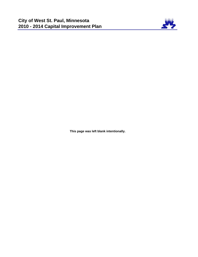

**This page was left blank intentionally.**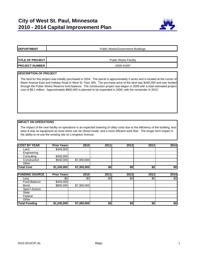

**DEPARTMENT** Public Works/Government Buildings

| <b>ITITLE OF PROJECT I</b> | <b>Public Works Facility</b> |
|----------------------------|------------------------------|
| <b>PROJECT NUMBER</b>      | 2009-41097                   |

#### **DESCRIPTION OF PROJECT**

The land for this project was initially purchased in 2004. The parcel is approximately 5 acres and is located at the corner of Marie Avenue East and Holiday Road in West St. Paul, MN. The purchase price of the land was \$445,000 and was funded through the Public Works Reserve fund balance. The construction project was begun in 2009 with a total estimated project cost of \$8.1 million. Approximately \$800,000 is planned to be expended in 2009, with the remainder in 2010.

#### **IMPACT ON OPERATIONS**

The impact of the new facility on operations is an expected lowering of utility costs due to the efficiency of the building, less wear & tear on equipment as more items can be stored inside, and a more efficient work flow. The longer term impact is the ability to re-use the existing site on Livingston Avenue.

| <b>COST BY YEAR</b> | <b>Prior Years</b> | <b>2010</b> | 2011 | 2012 | 2013 | 2014 |
|---------------------|--------------------|-------------|------|------|------|------|
| Land                | \$445,000          |             |      |      |      |      |
| Engineering         |                    |             |      |      |      |      |
| Consulting          | \$300,000          |             |      |      |      |      |
| Construction        | \$500,000          | \$7,300,000 |      |      |      |      |
| Other               |                    |             |      |      |      |      |
| <b>Total Cost</b>   | \$1,245,000        | \$7,300,000 | \$0  | \$0  | \$0  | \$0  |

| <b>FUNDING SOURCE</b> | <b>Prior Years</b> | 2010        | 2011 | 2012 | 2013 | 2014 |
|-----------------------|--------------------|-------------|------|------|------|------|
| Levy                  | \$0                | \$0         | \$0  | \$0  | \$0  | \$0  |
| <b>Fund Balance</b>   | \$445,000          |             |      |      |      |      |
| <b>Bond</b>           | \$800,000          | \$7,300,000 |      |      |      |      |
| Spec'l Assess         |                    |             |      |      |      |      |
| <b>State</b>          |                    |             |      |      |      |      |
| Federal               |                    |             |      |      |      |      |
| Other                 |                    |             |      |      |      |      |
| <b>Total Funding</b>  | \$1,245,000        | \$7,300,000 | \$0  | \$0  | \$0  | \$0  |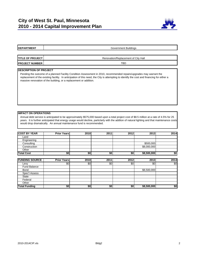

| <b>IDEPARTMENT</b>       | Government Buildings                |
|--------------------------|-------------------------------------|
|                          |                                     |
| <b>ITITLE OF PROJECT</b> | Renovation/Replacement of City Hall |
| <b>PROJECT NUMBER</b>    | TBD                                 |
|                          |                                     |

Pending the outcome of a planned Facility Condition Assessment in 2010, recommended repairs/upgrades may warrant the replacement of the existing facility. In anticipation of this need, the City is attempting to identify the cost and financing for either a massive renovation of the building, or a replacement or addition.

#### **IMPACT ON OPERATIONS**

Annual debt service is anticipated to be approximately \$575,000 based upon a total project cost of \$8.5 million at a rate of 4.5% for 25 years. It is further anticipated that energy usage would decline, particlarly with the additon of natural lighting and that maintenance costs would drop dramatically. An annual maintenance fund is recommended.

| <b>COST BY YEAR</b> | <b>Prior Years</b> | 2010 | 2011 | 2012 | 2013        | 2014 |
|---------------------|--------------------|------|------|------|-------------|------|
| Land                |                    |      |      |      |             |      |
| Engineering         |                    |      |      |      |             |      |
| Consulting          |                    |      |      |      | \$500,000   |      |
| Construction        |                    |      |      |      | \$8,000,000 |      |
| Other               |                    |      |      |      |             |      |
| <b>Total Cost</b>   | \$0 <sub>1</sub>   | \$0  | \$0  | \$0  | \$8,500,000 | \$0  |

| <b>FUNDING SOURCE</b> | <b>Prior Years</b> | 2010 | 2011 | 2012 | 2013        | 2014       |
|-----------------------|--------------------|------|------|------|-------------|------------|
| Levy                  | \$0                | \$0  | \$0  | \$0  | \$0         | $\sqrt{6}$ |
| <b>Fund Balance</b>   |                    |      |      |      |             |            |
| <b>Bond</b>           |                    |      |      |      | \$8,500,000 |            |
| Spec'l Assess         |                    |      |      |      |             |            |
| <b>State</b>          |                    |      |      |      |             |            |
| Federal               |                    |      |      |      |             |            |
| Other                 |                    |      |      |      |             |            |
| <b>Total Funding</b>  | \$0                | \$0  | \$0  | \$0  | \$8,500,000 | \$0        |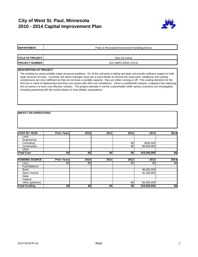# **City of West St. Paul, Minnesota 2010 - 2014 Capital Improvement Plan**



| <b>IDEPARTMENT</b>         | Parks & Recreation/Government Buildings/Arena |  |  |  |  |  |
|----------------------------|-----------------------------------------------|--|--|--|--|--|
|                            |                                               |  |  |  |  |  |
| <b>ITITLE OF PROJECT I</b> | New Ice Arena                                 |  |  |  |  |  |
| <b>PROJECT NUMBER</b>      | 615-49853-40520 (2013)                        |  |  |  |  |  |

#### **DESCRIPTION OF PROJECT**

Г

The existing ice arena exhibits major structural problems. On of the roof joists is failing and does not provide sufficient support to hold large amounts of snow. Currently, the arena manager must use a snow blower to remove the snow pack. Additional, the existing compressors are very inefficient as they do not have a variable capacity - they are either running or off. The cooling elements for the floor are in need of replacement and there are issues with ADA non-compliance. Given a cost/benefit analysis, it appears that replacing the ice arena is a more cost effective solution. This project estimate is merely a placeholder while various scenarios are investigated, including partnering with the school district or local athletic associations.

#### **IMPACT ON OPERATIONS**

| <b>COST BY YEAR</b> | <b>Prior Years</b> | 2010 | 2011 | 2012 | 2013         | 2014 |
|---------------------|--------------------|------|------|------|--------------|------|
| Land                |                    |      |      |      |              |      |
| Engineering         |                    |      |      |      |              |      |
| Consulting          |                    |      |      | \$0  | \$500,000    |      |
| Construction        |                    |      |      | \$0  | \$9,500,000  |      |
| Other               |                    |      |      |      |              |      |
| <b>Total Cost</b>   | \$0                | \$0  | \$0  | \$0  | \$10,000,000 | \$0  |

| <b>FUNDING SOURCE</b> | <b>Prior Years</b> | 2010 | 2011 | 2012 | 2013         | 2014 |
|-----------------------|--------------------|------|------|------|--------------|------|
| Levy                  | \$0                | \$0  |      | \$0  | \$0          | \$0  |
| <b>Fund Balance</b>   |                    |      |      |      |              |      |
| <b>Bond</b>           |                    |      |      |      | \$6,800,000  |      |
| Spec'l Assess         |                    |      |      |      | \$1,200,000  |      |
| <b>State</b>          |                    |      |      |      |              |      |
| Federal               |                    |      |      |      |              |      |
| Other (partners)      |                    |      |      | \$0  | \$2,000,000  |      |
| <b>Total Funding</b>  | \$0                | \$0  | \$0  | \$0  | \$10,000,000 | \$0  |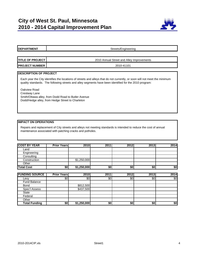

| <b>IDEPARTMENT</b>         | Streets/Engineering                       |
|----------------------------|-------------------------------------------|
|                            |                                           |
| <b>ITITLE OF PROJECT I</b> | 2010 Annual Street and Alley Improvements |
| <b>PROJECT NUMBER  </b>    | 2010-41101                                |

Each year the City identifies the locations of streets and alleys that do not currently, or soon will not meet the minimum quality standards. The following streets and alley segments have been identified for the 2010 program:

Oakview Road Crestway Lane Smith/Ottawa alley, from Dodd Road to Butler Avenue Dodd/Hedge alley, from Hedge Street to Charleton

#### **IMPACT ON OPERATIONS**

| <b>COST BY YEAR</b> | <b>Prior Years</b> | 2010        | 2011 | 2012 | 2013 | 2014 |
|---------------------|--------------------|-------------|------|------|------|------|
| Land                |                    |             |      |      |      |      |
| Engineering         |                    |             |      |      |      |      |
| Consulting          |                    |             |      |      |      |      |
| Construction        |                    | \$1,250,000 |      |      |      |      |
| Other               |                    |             |      |      |      |      |
| <b>Total Cost</b>   | \$0                | \$1,250,000 | \$0  | \$0  | \$0  | \$0  |

| <b>FUNDING SOURCE</b> | <b>Prior Years</b> | 2010        | 2011 | 2012            | 2013            | 2014 |
|-----------------------|--------------------|-------------|------|-----------------|-----------------|------|
| Levy                  | \$0                | \$0         | \$0  | \$0             | \$0             | \$0  |
| <b>Fund Balance</b>   |                    |             |      |                 |                 |      |
| <b>Bond</b>           |                    | \$812,500   |      |                 |                 |      |
| Spec'l Assess         |                    | \$437,500   |      |                 |                 |      |
| State                 |                    |             |      |                 |                 |      |
| Federal               |                    |             |      |                 |                 |      |
| Other                 |                    |             |      |                 |                 |      |
| <b>Total Funding</b>  | \$0                | \$1,250,000 | \$0  | $\overline{50}$ | $\overline{50}$ | \$0  |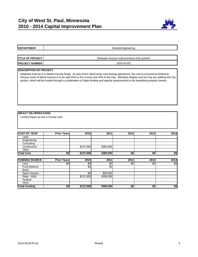

| <b>DEPARTMENT</b>       | Streets/Engineering                         |
|-------------------------|---------------------------------------------|
|                         |                                             |
| <b>TITLE OF PROJECT</b> | Delaware Avenue Improvements (City portion) |
| <b>PROJECT NUMBER</b>   | 2010-41102                                  |

Delaware Avenue is a Dakota County Road. As part of the City/County cost sharing agreement, the cost to reconstruct Delaware Avenue south of Marie Avenue is to be split 55% to the County and 45% to the City. Mendota Heights and the City are splitting the City portion, which will be funded through a combination of State funding and special assessments to the benefiting property owners.

#### **IMPACT ON OPERATIONS**

Limited impact as this a County road

| <b>COST BY YEAR</b> | <b>Prior Years</b> | 2010      | 2011      | 2012 | 2013 | 2014 |
|---------------------|--------------------|-----------|-----------|------|------|------|
| Land                |                    |           |           |      |      |      |
| Engineering         |                    |           |           |      |      |      |
| Consulting          |                    |           |           |      |      |      |
| Construction        |                    | \$137,000 | \$365,000 |      |      |      |
| Other               |                    |           |           |      |      |      |
| <b>Total Cost</b>   | \$0                | \$137,000 | \$365,000 | \$0  | \$0  | \$0  |

| <b>FUNDING SOURCE</b> | <b>Prior Years</b> | 2010      | 2011      | 2012 | 2013 | 2014 |
|-----------------------|--------------------|-----------|-----------|------|------|------|
| Levy                  | \$0                | \$0       | \$0       | \$0  | \$0  | \$0  |
| Fund Balance          |                    | \$0       | \$0       |      |      |      |
| <b>Bond</b>           |                    |           |           |      |      |      |
| Spec'l Assess         |                    | \$0       | \$80,000  |      |      |      |
| State - MSA           |                    | \$137,000 | \$285,000 |      |      |      |
| Federal               |                    |           |           |      |      |      |
| Other                 |                    |           |           |      |      |      |
| <b>Total Funding</b>  | \$0                | \$137,000 | \$365,000 | \$0  | \$0  | \$0  |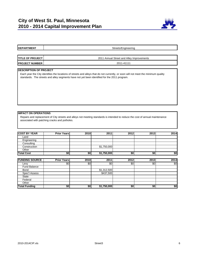

| <b>IDEPARTMENT</b>       | Streets/Engineering                       |
|--------------------------|-------------------------------------------|
|                          |                                           |
| <b>ITITLE OF PROJECT</b> | 2011 Annual Street and Alley Improvements |
| <b>PROJECT NUMBER</b>    | 2011-41111                                |

Each year the City identifies the locations of streets and alleys that do not currently, or soon will not meet the minimum quality standards. The streets and alley segments have not yet been identified for the 2011 program.

#### **IMPACT ON OPERATIONS**

| <b>COST BY YEAR</b> | <b>Prior Years</b> | 2010 | 2011        | 2012 | 2013 | 2014 |
|---------------------|--------------------|------|-------------|------|------|------|
| Land                |                    |      |             |      |      |      |
| Engineering         |                    |      |             |      |      |      |
| Consulting          |                    |      |             |      |      |      |
| Construction        |                    |      | \$1,750,000 |      |      |      |
| Other               |                    |      |             |      |      |      |
| <b>Total Cost</b>   | \$0                | \$0  | \$1,750,000 | \$0  | \$0  | \$0  |

| <b>FUNDING SOURCE</b> | <b>Prior Years</b> | 2010 | 2011        | 2012 | 2013 | 2014 |
|-----------------------|--------------------|------|-------------|------|------|------|
| Levy                  | \$0                | \$0  | \$0         | \$0  | \$0  | \$0  |
| Fund Balance          |                    |      |             |      |      |      |
| <b>Bond</b>           |                    |      | \$1,312,500 |      |      |      |
| Spec'l Assess         |                    |      | \$437,500   |      |      |      |
| <b>State</b>          |                    |      |             |      |      |      |
| Federal               |                    |      |             |      |      |      |
| Other                 |                    |      |             |      |      |      |
| <b>Total Funding</b>  | \$0                | \$0  | \$1,750,000 | \$0  | \$0  | \$0  |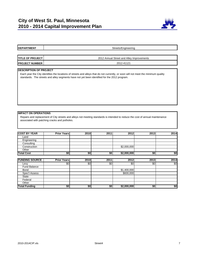

| <b>IDEPARTMENT</b>       | Streets/Engineering                       |
|--------------------------|-------------------------------------------|
|                          |                                           |
| <b>ITITLE OF PROJECT</b> | 2012 Annual Street and Alley Improvements |
| <b>PROJECT NUMBER</b>    | 2012-41121                                |

Each year the City identifies the locations of streets and alleys that do not currently, or soon will not meet the minimum quality standards. The streets and alley segments have not yet been identified for the 2012 program.

#### **IMPACT ON OPERATIONS**

| <b>COST BY YEAR</b> | <b>Prior Years</b> | 2010 | 2011 | 2012        | 2013 | 2014 |
|---------------------|--------------------|------|------|-------------|------|------|
| Land                |                    |      |      |             |      |      |
| Engineering         |                    |      |      |             |      |      |
| Consulting          |                    |      |      |             |      |      |
| Construction        |                    |      |      | \$2,000,000 |      |      |
| Other               |                    |      |      |             |      |      |
| <b>Total Cost</b>   | \$0                | \$0  | \$0  | \$2,000,000 | \$0  | \$0  |

| <b>FUNDING SOURCE</b> | <b>Prior Years</b> | 2010 | 2011 | 2012        | 2013 | <b>2014</b> |
|-----------------------|--------------------|------|------|-------------|------|-------------|
| Levy                  | \$0                | \$0  | \$0  | \$0         | \$0  | \$0         |
| <b>Fund Balance</b>   |                    |      |      |             |      |             |
| <b>Bond</b>           |                    |      |      | \$1,400,000 |      |             |
| Spec'l Assess         |                    |      |      | \$600,000   |      |             |
| <b>State</b>          |                    |      |      |             |      |             |
| Federal               |                    |      |      |             |      |             |
| Other                 |                    |      |      |             |      |             |
| <b>Total Funding</b>  | \$0                | \$0  | \$0  | \$2,000,000 | \$0  | \$0         |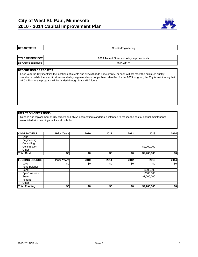

| <b>IDEPARTMENT</b>       | Streets/Engineering                       |
|--------------------------|-------------------------------------------|
|                          |                                           |
| <b>ITITLE OF PROJECT</b> | 2013 Annual Street and Alley Improvements |
| <b>PROJECT NUMBER</b>    | 2013-41131                                |
|                          |                                           |

Each year the City identifies the locations of streets and alleys that do not currently, or soon will not meet the minimum quality standards. While the specific streets and alley segments have not yet been identified for the 2013 program, the City is anticipating that \$1.0 million of the program will be funded through State MSA funds.

#### **IMPACT ON OPERATIONS**

| <b>COST BY YEAR</b> | <b>Prior Years</b> | 2010 | 2011 | 2012 | 2013        | 2014 |
|---------------------|--------------------|------|------|------|-------------|------|
| Land                |                    |      |      |      |             |      |
| Engineering         |                    |      |      |      |             |      |
| Consulting          |                    |      |      |      |             |      |
| Construction        |                    |      |      |      | \$2,200,000 |      |
| Other               |                    |      |      |      |             |      |
| <b>Total Cost</b>   | \$0                | \$0  | \$0  | \$0  | \$2,200,000 | \$0  |

| <b>FUNDING SOURCE</b> | <b>Prior Years</b> | 2010 | 2011 | 2012 | 2013        | <b>2014</b> |
|-----------------------|--------------------|------|------|------|-------------|-------------|
| $E$ evy               | \$0                | \$0  | \$0  | \$0  | \$0         | \$0         |
| <b>Fund Balance</b>   |                    |      |      |      |             |             |
| <b>Bond</b>           |                    |      |      |      | \$600,000   |             |
| Spec'l Assess         |                    |      |      |      | \$600,000   |             |
| <b>State</b>          |                    |      |      |      | \$1,000,000 |             |
| Federal               |                    |      |      |      |             |             |
| Other                 |                    |      |      |      |             |             |
| <b>Total Funding</b>  | \$0                | \$0  | \$0  | \$0  | \$2,200,000 | \$0         |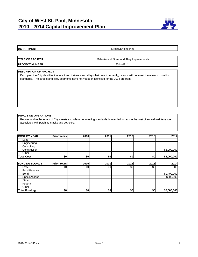

| <b>IDEPARTMENT</b>      | Streets/Engineering                       |
|-------------------------|-------------------------------------------|
|                         |                                           |
| <b>TITLE OF PROJECT</b> | 2014 Annual Street and Alley Improvements |
| <b>PROJECT NUMBER</b>   | 2014-41141                                |
|                         |                                           |

Each year the City identifies the locations of streets and alleys that do not currently, or soon will not meet the minimum quality standards. The streets and alley segments have not yet been identified for the 2014 program.

#### **IMPACT ON OPERATIONS**

| <b>COST BY YEAR</b> | <b>Prior Years</b> | 2010 | 2011 | 2012 | 2013 | 2014        |
|---------------------|--------------------|------|------|------|------|-------------|
| Land                |                    |      |      |      |      |             |
| Engineering         |                    |      |      |      |      |             |
| Consulting          |                    |      |      |      |      |             |
| Construction        |                    |      |      |      |      | \$2,000,000 |
| Other               |                    |      |      |      |      |             |
| <b>Total Cost</b>   | \$0                | \$0  | \$0  | \$0  | \$0  | \$2,000,000 |

| <b>FUNDING SOURCE</b> | <b>Prior Years</b> | 2010 | 2011 | 2012 | 2013 | 2014        |
|-----------------------|--------------------|------|------|------|------|-------------|
| Levy                  | \$0                | \$0  | \$0  | \$0  | \$0  | \$0         |
| <b>Fund Balance</b>   |                    |      |      |      |      |             |
| <b>Bond</b>           |                    |      |      |      |      | \$1,400,000 |
| Spec'l Assess         |                    |      |      |      |      | \$600,000   |
| State                 |                    |      |      |      |      |             |
| Federal               |                    |      |      |      |      |             |
| Other                 |                    |      |      |      |      |             |
| <b>Total Funding</b>  | \$0                | \$0  | \$0  | \$0  | \$0  | \$2,000,000 |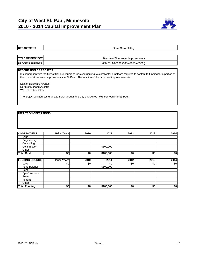

| <b>IDEPARTMENT</b>            | <b>Storm Sewer Utility</b>               |  |  |  |  |  |
|-------------------------------|------------------------------------------|--|--|--|--|--|
|                               |                                          |  |  |  |  |  |
| <b>TITLE OF PROJECT</b>       | <b>Riverview Stormwater Improvements</b> |  |  |  |  |  |
| <b>PROJECT NUMBER</b>         | 600-2011-00001 (600-49950-40530)         |  |  |  |  |  |
| <b>DESCRIPTION OF PROJECT</b> |                                          |  |  |  |  |  |

In cooperation with the City of St.Paul, municipalities contributing to stormwater runoff are required to contribute funding for a portion of the cost of stormwater improvements in St. Paul. The location of the proposed improvements is:

East of Delaware Avenue North of Morland Avenue West of Robert Street

The project will address drainage north through the City's 40-Acres neighborhood into St. Paul.

#### **IMPACT ON OPERATIONS**

| <b>COST BY YEAR</b> | <b>Prior Years</b> | 2010 | 2011      | 2012 | 2013 | 2014 |
|---------------------|--------------------|------|-----------|------|------|------|
| Land                |                    |      |           |      |      |      |
| Engineering         |                    |      |           |      |      |      |
| Consulting          |                    |      |           |      |      |      |
| Construction        |                    |      | \$100,000 |      |      |      |
| Other               |                    |      |           |      |      |      |
| <b>Total Cost</b>   | \$0                | \$0  | \$100,000 | \$0  | \$0  | \$0  |

| <b>FUNDING SOURCE</b> | <b>Prior Years</b> | 2010 | 2011      | 2012 | 2013 | 2014 |
|-----------------------|--------------------|------|-----------|------|------|------|
| Levy                  | \$0                | \$0  | \$0       | \$0  | \$0  | \$0  |
| Fund Balance          |                    |      | \$100,000 |      |      |      |
| <b>Bond</b>           |                    |      |           |      |      |      |
| Spec'l Assess         |                    |      |           |      |      |      |
| <b>State</b>          |                    |      |           |      |      |      |
| Federal               |                    |      |           |      |      |      |
| Other                 |                    |      |           |      |      |      |
| <b>Total Funding</b>  | \$0                | \$0  | \$100,000 | \$0  | \$0  | \$0  |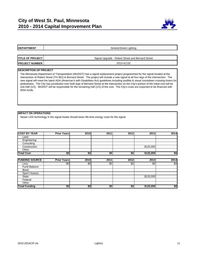

| <b>DEPARTMENT</b>       | Streets/Street Lighting                           |
|-------------------------|---------------------------------------------------|
|                         |                                                   |
| <b>TITLE OF PROJECT</b> | Signal Upgrade - Robert Street and Bernard Street |
| <b>PROJECT NUMBER</b>   | 2013-41132                                        |

The Minnesota Department of Transportation (Mn/DOT) has a signal replacement project programmed for the signal located at the intersection of Robert Street (TH 952) & Bernard Street. The project will include a new signal at all four legs of the intersection. The new signal will meet the latest ADA (American's with Disabilities Act) guidelines including audible & visual countdown crossing timers for pedestrians. The City has jurisdiction over both legs of Bernard Street at the intersection so the City's portion of the initial cost will be one-half (1/2). Mn/DOT will be responsible for the remaining half (1/2) of the cost. The City's costs are expected to be financed with MSA funds.

#### **IMPACT ON OPERATIONS**

Newer LED technology in the signal heads should lower life-time energy costs for the signal.

| <b>COST BY YEAR</b> | <b>Prior Years</b> | 2010 | 2011 | 2012 | 2013      | 2014 |
|---------------------|--------------------|------|------|------|-----------|------|
| Land                |                    |      |      |      |           |      |
| Engineering         |                    |      |      |      |           |      |
| Consulting          |                    |      |      |      |           |      |
| Construction        |                    |      |      |      | \$125,000 |      |
| Other               |                    |      |      |      |           |      |
| <b>Total Cost</b>   | \$0                | \$0  | \$0  | \$0  | \$125,000 | \$0  |

| <b>FUNDING SOURCE</b> | <b>Prior Years</b> | 2010 | 2011 | 2012 | 2013      | <b>2014</b> |
|-----------------------|--------------------|------|------|------|-----------|-------------|
| Levy                  | \$0                | \$0  | \$0  | \$0  | \$0       | \$0         |
| <b>Fund Balance</b>   |                    |      |      |      |           |             |
| <b>Bond</b>           |                    |      |      |      |           |             |
| Spec'l Assess         |                    |      |      |      |           |             |
| <b>State</b>          |                    |      |      |      | \$125,000 |             |
| Federal               |                    |      |      |      |           |             |
| Other                 |                    |      |      |      |           |             |
| <b>Total Funding</b>  | \$0                | \$0  | \$0  | \$0  | \$125,000 | \$0         |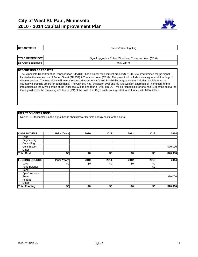

| <b>IDEPARTMENT</b>        | Streets/Street Lighting                                 |  |  |  |  |  |
|---------------------------|---------------------------------------------------------|--|--|--|--|--|
|                           |                                                         |  |  |  |  |  |
| <b>TITLE OF PROJECT I</b> | Signal Upgrade - Robert Street and Thompson Ave. (CR 6) |  |  |  |  |  |
| <b>PROJECT NUMBER</b>     | 2014-41132                                              |  |  |  |  |  |

The Minnesota Department of Transportation (Mn/DOT) has a signal replacement project (SP 1908-75) programmed for the signal located at the intersection of Robert Street (TH 952) & Thompson Ave. (CR 6). The project will include a new signal at all four legs of the intersection. The new signal will meet the latest ADA (American's with Disabilities Act) guidelines including audible & visual countdown crossing timers for pedestrians. The City only has jurisdiction over one leg (the western approach of Thompson) of the intersection so the City's portion of the initial cost will be one-fourth (1/4). Mn/DOT will be responsible for one-half (1/2) of the cost & the County will cover the remaining one-fourth (1/4) of the cost. The City's costs are expected to be funded with MSA dollars.

#### **IMPACT ON OPERATIONS**

Newer LED technology in the signal heads should lower life-time energy costs for the signal.

| <b>COST BY YEAR</b> | <b>Prior Years</b> | 2010 | 2011 | 2012 | 2013 | 2014     |
|---------------------|--------------------|------|------|------|------|----------|
| Land                |                    |      |      |      |      |          |
| Engineering         |                    |      |      |      |      |          |
| Consulting          |                    |      |      |      |      |          |
| Construction        |                    |      |      |      |      | \$70,000 |
| Other               |                    |      |      |      |      |          |
| <b>Total Cost</b>   | \$0                | \$0  | \$0  | \$0  | \$0  | \$70,000 |

| <b>FUNDING SOURCE</b> | <b>Prior Years</b> | 2010 | 2011 | 2012 | 2013 | 2014     |
|-----------------------|--------------------|------|------|------|------|----------|
| Levy                  | \$0                | \$0  | \$0  | \$0  | \$0  |          |
| <b>Fund Balance</b>   |                    |      |      |      | \$0  |          |
| <b>Bond</b>           |                    |      |      |      |      |          |
| Spec'l Assess         |                    |      |      |      |      |          |
| <b>State</b>          |                    |      |      |      |      | \$70,000 |
| Federal               |                    |      |      |      |      |          |
| Other                 |                    |      |      |      |      |          |
| <b>Total Funding</b>  | \$0                | \$0  | \$0  | \$0  | \$0  | \$70,000 |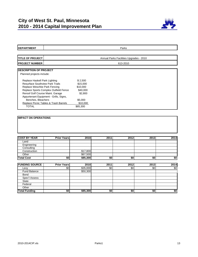

| <b>DEPARTMENT</b>                      | Parks                                   |          |      |      |      |      |  |
|----------------------------------------|-----------------------------------------|----------|------|------|------|------|--|
|                                        |                                         |          |      |      |      |      |  |
| <b>TITLE OF PROJECT</b>                | Annual Parks Facilities Upgrades - 2010 |          |      |      |      |      |  |
| <b>PROJECT NUMBER</b>                  | 613-2010                                |          |      |      |      |      |  |
| <b>DESCRIPTION OF PROJECT</b>          |                                         |          |      |      |      |      |  |
|                                        |                                         |          |      |      |      |      |  |
| Planned projects include:              |                                         |          |      |      |      |      |  |
| Replace Haskell Park Lighting          |                                         | \$2,500  |      |      |      |      |  |
| <b>Resurface Southview Park Trails</b> |                                         | \$15,000 |      |      |      |      |  |
| Replace Weschke Park Fencing           |                                         | \$10,000 |      |      |      |      |  |
| Replace Sports Complex Outfield Fence  |                                         | \$40,000 |      |      |      |      |  |
| Reroof Golf Course Maint. Garage       |                                         | \$2,800  |      |      |      |      |  |
| Appurtenant Equipment - Grills, Signs, |                                         |          |      |      |      |      |  |
| Benches, Bleachers                     |                                         | \$5,000  |      |      |      |      |  |
| Replace Picnic Tables & Trash Barrels  |                                         | \$10,000 |      |      |      |      |  |
| <b>TOTAL</b>                           |                                         | \$85,300 |      |      |      |      |  |
|                                        |                                         |          |      |      |      |      |  |
| <b>COST BY YEAR</b>                    | <b>Prior Years</b>                      | 2010     | 2011 | 2012 | 2013 | 2014 |  |
| Land                                   |                                         |          |      |      |      |      |  |
| Engineering<br>Consulting              |                                         |          |      |      |      |      |  |
| Construction                           |                                         | \$17,800 |      |      |      |      |  |
| Other                                  |                                         | \$67,500 |      |      |      |      |  |
| <b>Total Cost</b>                      | \$0                                     | \$85,300 | \$0  | \$0  | \$0  | \$0  |  |
|                                        |                                         |          |      |      |      |      |  |
|                                        |                                         |          |      |      |      |      |  |
| <b>FUNDING SOURCE</b>                  | <b>Prior Years</b>                      | 2010     | 2011 | 2012 | 2013 | 2014 |  |
| Levy                                   | \$0                                     | \$35,000 | \$0  | \$0  | \$0  | \$0  |  |
| Fund Balance                           |                                         | \$50,300 |      |      |      |      |  |
| <b>Bond</b>                            |                                         |          |      |      |      |      |  |
| Spec'l Assess                          |                                         |          |      |      |      |      |  |
| <b>State</b>                           |                                         |          |      |      |      |      |  |
| Federal                                |                                         |          |      |      |      |      |  |
| Other<br><b>Total Funding</b>          | \$0                                     | \$85,300 | \$0  | \$0  | \$0  | \$0  |  |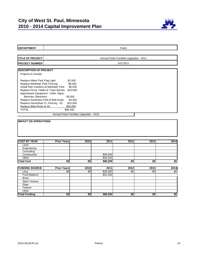

| <b>DEPARTMENT</b>                                                                                                                                                                                                                                                                                                                            | Parks                                                                                                                                          |      |                      |      |      |      |  |  |
|----------------------------------------------------------------------------------------------------------------------------------------------------------------------------------------------------------------------------------------------------------------------------------------------------------------------------------------------|------------------------------------------------------------------------------------------------------------------------------------------------|------|----------------------|------|------|------|--|--|
|                                                                                                                                                                                                                                                                                                                                              |                                                                                                                                                |      |                      |      |      |      |  |  |
|                                                                                                                                                                                                                                                                                                                                              |                                                                                                                                                |      |                      |      |      |      |  |  |
| <b>TITLE OF PROJECT</b>                                                                                                                                                                                                                                                                                                                      | Annual Parks Facilities Upgrades - 2011                                                                                                        |      |                      |      |      |      |  |  |
| <b>PROJECT NUMBER</b>                                                                                                                                                                                                                                                                                                                        | 613-2011                                                                                                                                       |      |                      |      |      |      |  |  |
| <b>DESCRIPTION OF PROJECT</b>                                                                                                                                                                                                                                                                                                                |                                                                                                                                                |      |                      |      |      |      |  |  |
| Projects to include:                                                                                                                                                                                                                                                                                                                         |                                                                                                                                                |      |                      |      |      |      |  |  |
| Replace Albert Park Flag Light<br>Replace Marthaler Park Fencing<br>Install Rain Gardens at Marthaler Park<br>Replace Picnic Tables & Trash Barrels<br>Appurtenant Equipment - Grills, Signs,<br>Benches, Bleachers<br>Replace Southview Park B-Ball Goals<br>Replace Horseshoe Ct. Fencing - SC<br>Replace Bldg Roofs at SC<br><b>TOTAL</b> | \$1,500<br>\$8,000<br>\$6,000<br>\$10,000<br>\$5,000<br>\$4,200<br>\$15,000<br>\$50,000<br>\$86,200<br>Annual Parks Facilities Upgrades - 2010 |      |                      |      |      |      |  |  |
|                                                                                                                                                                                                                                                                                                                                              |                                                                                                                                                |      |                      |      |      |      |  |  |
|                                                                                                                                                                                                                                                                                                                                              |                                                                                                                                                |      |                      |      |      |      |  |  |
| <b>IMPACT ON OPERATIONS</b><br><b>COST BY YEAR</b>                                                                                                                                                                                                                                                                                           | <b>Prior Years</b>                                                                                                                             | 2010 | 2011                 | 2012 | 2013 | 2014 |  |  |
| Land                                                                                                                                                                                                                                                                                                                                         |                                                                                                                                                |      |                      |      |      |      |  |  |
| Engineering                                                                                                                                                                                                                                                                                                                                  |                                                                                                                                                |      |                      |      |      |      |  |  |
| Consulting                                                                                                                                                                                                                                                                                                                                   |                                                                                                                                                |      |                      |      |      |      |  |  |
| Construction                                                                                                                                                                                                                                                                                                                                 |                                                                                                                                                |      | \$56,000             |      |      |      |  |  |
| Other                                                                                                                                                                                                                                                                                                                                        |                                                                                                                                                |      | \$30,200             |      |      |      |  |  |
| <b>Total Cost</b>                                                                                                                                                                                                                                                                                                                            | \$0                                                                                                                                            | \$0  | \$86,200             | \$0  | \$0  | \$0  |  |  |
| <b>FUNDING SOURCE</b>                                                                                                                                                                                                                                                                                                                        | <b>Prior Years</b>                                                                                                                             | 2010 | 2011                 | 2012 | 2013 | 2014 |  |  |
| Levy                                                                                                                                                                                                                                                                                                                                         | \$0                                                                                                                                            |      |                      |      |      |      |  |  |
| Fund Balance                                                                                                                                                                                                                                                                                                                                 |                                                                                                                                                | \$0  | \$35,000<br>\$51,200 | \$0  | \$0  | \$0  |  |  |
| <b>Bond</b>                                                                                                                                                                                                                                                                                                                                  |                                                                                                                                                |      |                      |      |      |      |  |  |
| Spec'l Assess                                                                                                                                                                                                                                                                                                                                |                                                                                                                                                |      |                      |      |      |      |  |  |
| State                                                                                                                                                                                                                                                                                                                                        |                                                                                                                                                |      |                      |      |      |      |  |  |
| Federal                                                                                                                                                                                                                                                                                                                                      |                                                                                                                                                |      |                      |      |      |      |  |  |
| Other                                                                                                                                                                                                                                                                                                                                        |                                                                                                                                                |      |                      |      |      |      |  |  |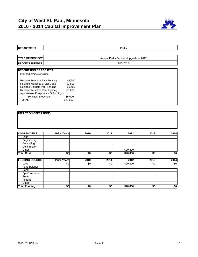

| <b>DEPARTMENT</b>                        |                    |      |      | Parks                                   |      |      |
|------------------------------------------|--------------------|------|------|-----------------------------------------|------|------|
|                                          |                    |      |      |                                         |      |      |
| <b>TITLE OF PROJECT</b>                  |                    |      |      | Annual Parks Facilities Upgrades - 2012 |      |      |
| <b>PROJECT NUMBER</b>                    |                    |      |      | 613-2012                                |      |      |
| <b>DESCRIPTION OF PROJECT</b>            |                    |      |      |                                         |      |      |
| Planned projects include:                |                    |      |      |                                         |      |      |
|                                          |                    |      |      |                                         |      |      |
| Replace Emerson Park Fencing             | \$4,600            |      |      |                                         |      |      |
| Replace Weschke B-Ball Goals<br>\$1,800  |                    |      |      |                                         |      |      |
| Replace Oakdale Park Fencing<br>\$6,400  |                    |      |      |                                         |      |      |
| Replace Weschke Park Lighting<br>\$3,000 |                    |      |      |                                         |      |      |
| Appurtenant Equipment - Grills, Signs,   |                    |      |      |                                         |      |      |
| Benches, Bleachers<br>\$5,000            |                    |      |      |                                         |      |      |
| <b>TOTAL</b>                             | \$20,800           |      |      |                                         |      |      |
|                                          |                    |      |      |                                         |      |      |
|                                          |                    |      |      |                                         |      |      |
| <b>IMPACT ON OPERATIONS</b>              |                    |      |      |                                         |      |      |
|                                          |                    |      |      |                                         |      |      |
|                                          |                    |      |      |                                         |      |      |
|                                          |                    |      |      |                                         |      |      |
|                                          |                    |      |      |                                         |      |      |
| <b>COST BY YEAR</b>                      | <b>Prior Years</b> | 2010 | 2011 | 2012                                    | 2013 | 2014 |
| Land                                     |                    |      |      |                                         |      |      |
| Engineering                              |                    |      |      |                                         |      |      |
| Consulting                               |                    |      |      |                                         |      |      |
| Construction                             |                    |      |      |                                         |      |      |
| Other                                    |                    |      |      | \$20,800                                |      |      |
| <b>Total Cost</b>                        | \$0                | \$0  | \$0  | \$20,800                                | \$0  | \$0  |
|                                          |                    |      |      |                                         |      |      |
| <b>FUNDING SOURCE</b>                    | <b>Prior Years</b> | 2010 | 2011 | 2012                                    | 2013 | 2014 |
| Levy                                     | \$0                | \$0  | \$0  | \$20,800                                | \$0  | \$0  |
| <b>Fund Balance</b>                      |                    |      |      |                                         |      |      |
| <b>Bond</b>                              |                    |      |      |                                         |      |      |
| <b>Spec'l Assess</b>                     |                    |      |      |                                         |      |      |
| State                                    |                    |      |      |                                         |      |      |
| Federal                                  |                    |      |      |                                         |      |      |
| Other                                    |                    |      |      |                                         |      |      |
| <b>Total Funding</b>                     | \$0                | \$0  | \$0  | \$20,800                                | \$0  | \$0  |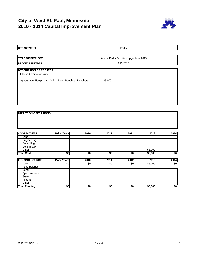

| <b>DEPARTMENT</b>             |                                                           |            |                 | Parks           |         |      |  |
|-------------------------------|-----------------------------------------------------------|------------|-----------------|-----------------|---------|------|--|
|                               |                                                           |            |                 |                 |         |      |  |
| <b>TITLE OF PROJECT</b>       |                                                           |            |                 |                 |         |      |  |
|                               | Annual Parks Facilities Upgrades - 2013                   |            |                 |                 |         |      |  |
| <b>PROJECT NUMBER</b>         |                                                           |            |                 | 613-2013        |         |      |  |
| <b>DESCRIPTION OF PROJECT</b> |                                                           |            |                 |                 |         |      |  |
| Planned projects include:     |                                                           |            |                 |                 |         |      |  |
|                               |                                                           |            |                 |                 |         |      |  |
|                               | Appurtenant Equipment - Grills, Signs, Benches, Bleachers |            | \$5,000         |                 |         |      |  |
|                               |                                                           |            |                 |                 |         |      |  |
|                               |                                                           |            |                 |                 |         |      |  |
|                               |                                                           |            |                 |                 |         |      |  |
|                               |                                                           |            |                 |                 |         |      |  |
|                               |                                                           |            |                 |                 |         |      |  |
|                               |                                                           |            |                 |                 |         |      |  |
|                               |                                                           |            |                 |                 |         |      |  |
|                               |                                                           |            |                 |                 |         |      |  |
| <b>IMPACT ON OPERATIONS</b>   |                                                           |            |                 |                 |         |      |  |
|                               |                                                           |            |                 |                 |         |      |  |
|                               |                                                           |            |                 |                 |         |      |  |
|                               |                                                           |            |                 |                 |         |      |  |
|                               |                                                           |            |                 |                 |         |      |  |
|                               |                                                           |            |                 |                 |         |      |  |
| <b>COST BY YEAR</b>           | <b>Prior Years</b>                                        | 2010       | 2011            | 2012            | 2013    | 2014 |  |
| Land                          |                                                           |            |                 |                 |         |      |  |
| Engineering                   |                                                           |            |                 |                 |         |      |  |
| Consulting                    |                                                           |            |                 |                 |         |      |  |
| Construction                  |                                                           |            |                 |                 |         |      |  |
| Other                         |                                                           |            |                 |                 | \$5,000 |      |  |
| <b>Total Cost</b>             | \$0                                                       | \$0        | $\overline{50}$ | $\overline{50}$ | \$5,000 |      |  |
|                               | <b>Prior Years</b>                                        |            |                 |                 |         | \$0  |  |
|                               |                                                           |            |                 |                 |         |      |  |
| <b>FUNDING SOURCE</b>         |                                                           | 2010       | 2011            | 2012            | 2013    | 2014 |  |
| Levy                          | \$0                                                       | $\sqrt{6}$ | $\overline{50}$ | $\sqrt{6}$      | \$5,000 | \$0  |  |
| <b>Fund Balance</b>           |                                                           |            |                 |                 |         |      |  |
| <b>Bond</b>                   |                                                           |            |                 |                 |         |      |  |
| <b>Spec'l Assess</b>          |                                                           |            |                 |                 |         |      |  |
| State                         |                                                           |            |                 |                 |         |      |  |
| Federal<br>Other              |                                                           |            |                 |                 |         |      |  |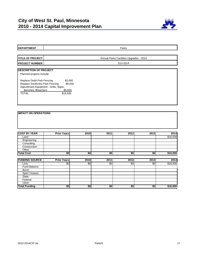

| <b>DEPARTMENT</b>                                                                                                                           |                                           |      |            | Parks                                   |                 |          |
|---------------------------------------------------------------------------------------------------------------------------------------------|-------------------------------------------|------|------------|-----------------------------------------|-----------------|----------|
|                                                                                                                                             |                                           |      |            |                                         |                 |          |
| <b>TITLE OF PROJECT</b>                                                                                                                     |                                           |      |            | Annual Parks Facilities Upgrades - 2014 |                 |          |
| <b>PROJECT NUMBER</b>                                                                                                                       |                                           |      |            | 613-2014                                |                 |          |
|                                                                                                                                             |                                           |      |            |                                         |                 |          |
| <b>DESCRIPTION OF PROJECT</b><br>Planned projects include:                                                                                  |                                           |      |            |                                         |                 |          |
| Replace Dodd Park Fencing<br>Replace Southview Park Fencing<br>Appurtenant Equipment - Grills, Signs,<br>Benches, Bleachers<br><b>TOTAL</b> | \$3,000<br>\$8,500<br>\$5,000<br>\$16,500 |      |            |                                         |                 |          |
|                                                                                                                                             |                                           |      |            |                                         |                 |          |
|                                                                                                                                             |                                           |      |            |                                         |                 |          |
|                                                                                                                                             |                                           |      |            |                                         |                 |          |
| <b>IMPACT ON OPERATIONS</b>                                                                                                                 |                                           |      |            |                                         |                 |          |
|                                                                                                                                             |                                           |      |            |                                         |                 |          |
|                                                                                                                                             |                                           |      |            |                                         |                 |          |
|                                                                                                                                             |                                           |      |            |                                         |                 |          |
|                                                                                                                                             |                                           |      |            |                                         |                 |          |
| <b>COST BY YEAR</b>                                                                                                                         | <b>Prior Years</b>                        | 2010 | 2011       | 2012                                    | 2013            | 2014     |
| Land                                                                                                                                        |                                           |      |            |                                         |                 | \$16,500 |
| Engineering                                                                                                                                 |                                           |      |            |                                         |                 |          |
| Consulting                                                                                                                                  |                                           |      |            |                                         |                 |          |
| Construction                                                                                                                                |                                           |      |            |                                         |                 |          |
| Other                                                                                                                                       |                                           |      |            |                                         |                 |          |
| <b>Total Cost</b>                                                                                                                           | \$0                                       | \$0  | \$0        | \$0                                     | $\overline{50}$ | \$16,500 |
| <b>FUNDING SOURCE</b>                                                                                                                       | <b>Prior Years</b>                        | 2010 | 2011       | 2012                                    | 2013            | 2014     |
| Levy                                                                                                                                        | \$0                                       | \$0  | $\sqrt{6}$ | $\sqrt{6}$                              | $\sqrt{6}$      | \$16,500 |
| <b>Fund Balance</b>                                                                                                                         |                                           |      |            |                                         |                 |          |
| Bond                                                                                                                                        |                                           |      |            |                                         |                 |          |
| <b>Spec'l Assess</b>                                                                                                                        |                                           |      |            |                                         |                 |          |
| <b>State</b>                                                                                                                                |                                           |      |            |                                         |                 |          |
| Federal                                                                                                                                     |                                           |      |            |                                         |                 |          |
| Other                                                                                                                                       |                                           |      |            |                                         |                 |          |
| <b>Total Funding</b>                                                                                                                        | \$0                                       | \$0  | \$0        | \$0                                     | \$0             | \$16,500 |
|                                                                                                                                             |                                           |      |            |                                         |                 |          |